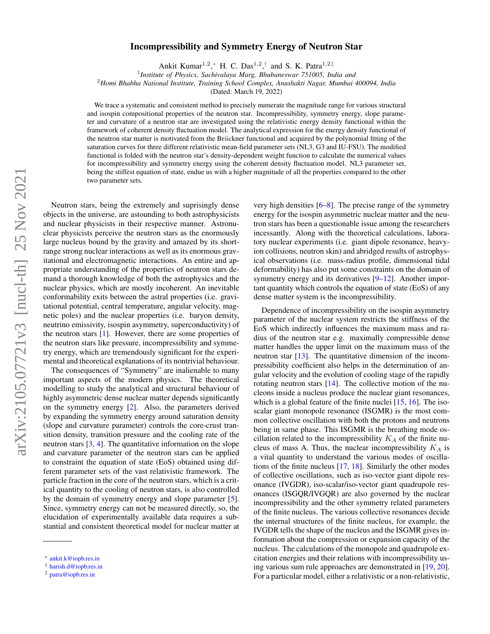## arXiv:2105.07721v3 [nucl-th] 25 Nov 2021 arXiv:2105.07721v3 [nucl-th] 25 Nov 2021

## Incompressibility and Symmetry Energy of Neutron Star

Ankit Kumar<sup>1,2</sup>,\* H. C. Das<sup>1,2</sup>,<sup>[†](#page-0-1)</sup> and S. K. Patra<sup>1,2[‡](#page-0-2)</sup>

1 *Institute of Physics, Sachivalaya Marg, Bhubaneswar 751005, India and*

<sup>2</sup>*Homi Bhabha National Institute, Training School Complex, Anushakti Nagar, Mumbai 400094, India*

(Dated: March 19, 2022)

We trace a systematic and consistent method to precisely numerate the magnitude range for various structural and isospin compositional properties of the neutron star. Incompressibility, symmetry energy, slope parameter and curvature of a neutron star are investigated using the relativistic energy density functional within the framework of coherent density fluctuation model. The analytical expression for the energy density functional of the neutron star matter is motivated from the Brückner functional and acquired by the polynomial fitting of the saturation curves for three different relativistic mean-field parameter sets (NL3, G3 and IU-FSU). The modified functional is folded with the neutron star's density-dependent weight function to calculate the numerical values for incompressibility and symmetry energy using the coherent density fluctuation model. NL3 parameter set, being the stiffest equation of state, endue us with a higher magnitude of all the properties compared to the other two parameter sets.

Neutron stars, being the extremely and suprisingly dense objects in the universe, are astounding to both astrophysicists and nuclear physicists in their respective manner. Astronuclear physicists perceive the neutron stars as the enormously large nucleus bound by the gravity and amazed by its shortrange strong nuclear interactions as well as its enormous gravitational and electromagnetic interactions. An entire and appropriate understanding of the properties of neutron stars demand a thorough knowledge of both the astrophysics and the nuclear physics, which are mostly incoherent. An inevitable conformability exits between the astral properties (i.e. gravitational potential, central temperature, angular velocity, magnetic poles) and the nuclear properties (i.e. baryon density, neutrino emissivity, isospin asymmetry, superconductivity) of the neutron stars [\[1\]](#page-6-0). However, there are some properties of the neutron stars like pressure, incompressibility and symmetry energy, which are tremendously significant for the experimental and theoretical explanations of its nontrivial behaviour.

The consequences of "Symmetry" are inalienable to many important aspects of the modern physics. The theoretical modelling to study the analytical and structural behaviour of highly asymmetric dense nuclear matter depends significantly on the symmetry energy [\[2\]](#page-6-1). Also, the parameters derived by expanding the symmetry energy around saturation density (slope and curvature parameter) controls the core-crust transition density, transition pressure and the cooling rate of the neutron stars  $[3, 4]$  $[3, 4]$  $[3, 4]$ . The quantitative information on the slope and curvature parameter of the neutron stars can be applied to constraint the equation of state (EoS) obtained using different parameter sets of the vast relativistic framework. The particle fraction in the core of the neutron stars, which is a critical quantity to the cooling of neutron stars, is also controlled by the domain of symmetry energy and slope parameter [\[5\]](#page-6-4). Since, symmetry energy can not be measured directly, so, the elucidation of experimentally available data requires a substantial and consistent theoretical model for nuclear matter at

very high densities [\[6](#page-6-5)[–8\]](#page-6-6). The precise range of the symmetry energy for the isospin asymmetric nuclear matter and the neutron stars has been a questionable issue among the researchers incessantly. Along with the theoretical calculations, laboratory nuclear experiments (i.e. giant dipole resonance, heavyion collisions, neutron skin) and abridged results of astrophysical observations (i.e. mass-radius profile, dimensional tidal deformability) has also put some constraints on the domain of symmetry energy and its derivatives [\[9–](#page-6-7)[12\]](#page-6-8). Another important quantity which controls the equation of state (EoS) of any dense matter system is the incompressibility.

Dependence of incompressibility on the isospin asymmetry parameter of the nuclear system restricts the stiffness of the EoS which indirectly influences the maximum mass and radius of the neutron star e.g. maximally compressible dense matter handles the upper limit on the maximum mass of the neutron star [\[13\]](#page-6-9). The quantitative dimension of the incompressibility coefficient also helps in the determination of angular velocity and the evolution of cooling stage of the rapidly rotating neutron stars [\[14\]](#page-6-10). The collective motion of the nucleons inside a nucleus produce the nuclear giant resonances, which is a global feature of the finite nuclei  $[15, 16]$  $[15, 16]$  $[15, 16]$ . The isoscalar giant monopole resonance (ISGMR) is the most common collective oscillation with both the protons and neutrons being in same phase. This ISGMR is the breathing mode oscillation related to the incompressibility  $K_A$  of the finite nucleus of mass A. Thus, the nuclear incompressibility  $K_A$  is a vital quantity to understand the various modes of oscillations of the finite nucleus [\[17,](#page-6-13) [18\]](#page-6-14). Similarly the other modes of collective oscillations, such as iso-vector giant dipole resonance (IVGDR), iso-scalar/iso-vector giant quadrupole resonances (ISGQR/IVGQR) are also governed by the nuclear incompressibility and the other symmetry related parameters of the finite nucleus. The various collective resonances decide the internal structures of the finite nucleus, for example, the IVGDR tells the shape of the nucleus and the ISGMR gives information about the compression or expansion capacity of the nucleus. The calculations of the monopole and quadrupole excitation energies and their relations with incompressibility using various sum rule approaches are demonstrated in [\[19,](#page-6-15) [20\]](#page-6-16). For a particular model, either a relativistic or a non-relativistic,

<span id="page-0-0"></span><sup>∗</sup> [ankit.k@iopb.res.in](mailto:ankit.k@iopb.res.in)

<span id="page-0-1"></span><sup>†</sup> [harish.d@iopb.res.in](mailto:harish.d@iopb.res.in)

<span id="page-0-2"></span><sup>‡</sup> [patra@iopb.res.in](mailto:patra@iopb.res.in)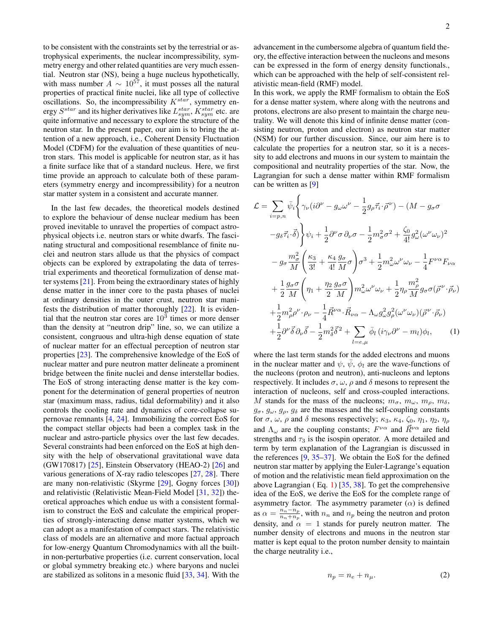to be consistent with the constraints set by the terrestrial or astrophysical experiments, the nuclear incompressibility, symmetry energy and other related quantities are very much essential. Neutron star (NS), being a huge nucleus hypothetically, with mass number  $A \sim 10^{57}$ , it must posses all the natural properties of practical finite nuclei, like all type of collective oscillations. So, the incompressibility  $K^{star}$ , symmetry energy  $S^{star}$  and its higher derivatives like  $L_{sym}^{star}$ ,  $K_{sym}^{star}$  etc. are quite informative and necessary to explore the structure of the neutron star. In the present paper, our aim is to bring the attention of a new approach, i.e., Coherent Density Fluctuation Model (CDFM) for the evaluation of these quantities of neutron stars. This model is applicable for neutron star, as it has a finite surface like that of a standard nucleus. Here, we first time provide an approach to calculate both of these parameters (symmetry energy and incompressibility) for a neutron star matter system in a consistent and accurate manner.

In the last few decades, the theoretical models destined to explore the behaviour of dense nuclear medium has been proved inevitable to unravel the properties of compact astrophysical objects i.e. neutron stars or white dwarfs. The fascinating structural and compositional resemblance of finite nuclei and neutron stars allude us that the physics of compact objects can be explored by extrapolating the data of terrestrial experiments and theoretical formulization of dense matter systems [\[21\]](#page-7-0). From being the extraordinary states of highly dense matter in the inner core to the pasta phases of nuclei at ordinary densities in the outer crust, neutron star manifests the distribution of matter thoroughly [\[22\]](#page-7-1). It is evidential that the neutron star cores are  $10<sup>3</sup>$  times or more denser than the density at "neutron drip" line, so, we can utilize a consistent, congruous and ultra-high dense equation of state of nuclear matter for an effectual perception of neutron star properties [\[23\]](#page-7-2). The comprehensive knowledge of the EoS of nuclear matter and pure neutron matter delineate a prominent bridge between the finite nuclei and dense interstellar bodies. The EoS of strong interacting dense matter is the key component for the determination of general properties of neutron star (maximum mass, radius, tidal deformability) and it also controls the cooling rate and dynamics of core-collapse supernovae remnants [\[4,](#page-6-3) [24\]](#page-7-3). Immobilizing the correct EoS for the compact stellar objects had been a complex task in the nuclear and astro-particle physics over the last few decades. Several constraints had been enforced on the EoS at high density with the help of observational gravitational wave data (GW170817)  $[25]$ , Einstein Observatory (HEAO-2)  $[26]$  and various generations of X-ray radio telescopes [\[27,](#page-7-6) [28\]](#page-7-7). There are many non-relativistic (Skyrme [\[29\]](#page-7-8), Gogny forces [\[30\]](#page-7-9)) and relativistic (Relativistic Mean-Field Model [\[31,](#page-7-10) [32\]](#page-7-11)) theoretical approaches which endue us with a consistent formalism to construct the EoS and calculate the empirical properties of strongly-interacting dense matter systems, which we can adopt as a manifestation of compact stars. The relativistic class of models are an alternative and more factual approach for low-energy Quantum Chromodynamics with all the builtin non-perturbative properties (i.e. current conservation, local or global symmetry breaking etc.) where baryons and nuclei are stabilized as solitons in a mesonic fluid [\[33,](#page-7-12) [34\]](#page-7-13). With the

advancement in the cumbersome algebra of quantum field theory, the effective interaction between the nucleons and mesons can be expressed in the form of energy density functionals., which can be approached with the help of self-consistent relativistic mean-field (RMF) model.

In this work, we apply the RMF formalism to obtain the EoS for a dense matter system, where along with the neutrons and protons, electrons are also present to maintain the charge neutrality. We will denote this kind of infinite dense matter (consisting neutron, proton and electron) as neutron star matter (NSM) for our further discussion. Since, our aim here is to calculate the properties for a neutron star, so it is a necessity to add electrons and muons in our system to maintain the compositional and neutrality properties of the star. Now, the Lagrangian for such a dense matter within RMF formalism can be written as [\[9\]](#page-6-7)

<span id="page-1-0"></span>
$$
\mathcal{L} = \sum_{i=p,n} \bar{\psi}_i \left\{ \gamma_\nu (i\partial^\nu - g_\omega \omega^\nu - \frac{1}{2} g_\rho \vec{\tau}_i \cdot \vec{\rho}^\nu) - (M - g_\sigma \sigma) \right\}
$$
  
\n
$$
-g_\delta \vec{\tau}_i \cdot \vec{\delta} \right\} \psi_i + \frac{1}{2} \partial^\nu \sigma \partial_\nu \sigma - \frac{1}{2} m_\sigma^2 \sigma^2 + \frac{\zeta_0}{4!} g_\omega^2 (\omega^\nu \omega_\nu)^2
$$
  
\n
$$
-g_\sigma \frac{m_\sigma^2}{M} \left( \frac{\kappa_3}{3!} + \frac{\kappa_4}{4!} \frac{g_\sigma}{M} \sigma \right) \sigma^3 + \frac{1}{2} m_\omega^2 \omega^\nu \omega_\nu - \frac{1}{4} F^{\nu \alpha} F_{\nu \alpha}
$$
  
\n
$$
+ \frac{1}{2} \frac{g_\sigma \sigma}{M} \left( \eta_1 + \frac{\eta_2}{2} \frac{g_\sigma \sigma}{M} \right) m_\omega^2 \omega^\nu \omega_\nu + \frac{1}{2} \eta_\rho \frac{m_\rho^2}{M} g_\sigma \sigma (\vec{\rho}^\nu \cdot \vec{\rho}_\nu)
$$
  
\n
$$
+ \frac{1}{2} m_\rho^2 \rho^\nu \cdot \rho_\nu - \frac{1}{4} \vec{R}^{\nu \alpha} \cdot \vec{R}_{\nu \alpha} - \Lambda_\omega g_\omega^2 g_\rho^2 (\omega^\nu \omega_\nu) (\vec{\rho}^\nu \cdot \vec{\rho}_\nu)
$$
  
\n
$$
+ \frac{1}{2} \partial^\nu \vec{\delta} \partial_\nu \vec{\delta} - \frac{1}{2} m_\delta^2 \vec{\delta}^2 + \sum_{l = e, \mu} \bar{\phi}_l (i \gamma_\nu \partial^\nu - m_l) \phi_l, \qquad (1)
$$

where the last term stands for the added electrons and muons in the nuclear matter and  $\psi$ ,  $\psi$ ,  $\phi$ <sub>l</sub> are the wave-functions of the nucleons (proton and neutron), anti-nucleons and leptons respectively. It includes  $\sigma$ ,  $\omega$ ,  $\rho$  and  $\delta$  mesons to represent the interaction of nucleons, self and cross-coupled interactions. M stands for the mass of the nucleons;  $m_{\sigma}$ ,  $m_{\omega}$ ,  $m_{\rho}$ ,  $m_{\delta}$ ,  $g_{\sigma}$ ,  $g_{\omega}$ ,  $g_{\rho}$ ,  $g_{\delta}$  are the masses and the self-coupling constants for  $\sigma$ ,  $\omega$ ,  $\rho$  and  $\delta$  mesons respectively;  $\kappa_3$ ,  $\kappa_4$ ,  $\zeta_0$ ,  $\eta_1$ ,  $\eta_2$ ,  $\eta_\rho$ and  $\Lambda_{\omega}$  are the coupling constants;  $F^{\nu\alpha}$  and  $\vec{R}^{\nu\alpha}$  are field strengths and  $\tau_3$  is the isospin operator. A more detailed and term by term explanation of the Lagrangian is discussed in the references [\[9,](#page-6-7) [35–](#page-7-14)[37\]](#page-7-15). We obtain the EoS for the defined neutron star matter by applying the Euler-Lagrange's equation of motion and the relativistic mean field approximation on the above Lagrangian ( Eq. [1\)](#page-1-0) [\[35,](#page-7-14) [38\]](#page-7-16). To get the comprehensive idea of the EoS, we derive the EoS for the complete range of asymmetry factor. The asymmetry parameter  $(\alpha)$  is defined as  $\alpha = \frac{n_n - n_p}{n + n}$  $\frac{n_n - n_p}{n_n + n_p}$ , with  $n_n$  and  $n_p$  being the neutron and proton density, and  $\alpha = 1$  stands for purely neutron matter. The number density of electrons and muons in the neutron star matter is kept equal to the proton number density to maintain the charge neutrality i.e.,

$$
n_p = n_e + n_\mu. \tag{2}
$$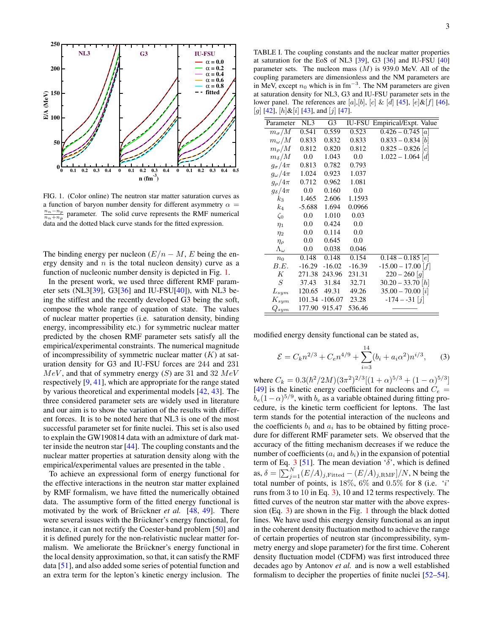

<span id="page-2-0"></span>FIG. 1. (Color online) The neutron star matter saturation curves as a function of baryon number density for different asymmetry  $\alpha =$  $\frac{n_n - n_p}{n_n + n_p}$  parameter. The solid curve represents the RMF numerical data and the dotted black curve stands for the fitted expression.

The binding energy per nucleon  $(E/n - M, E)$  being the energy density and  $n$  is the total nucleon density) curve as a function of nucleonic number density is depicted in Fig. [1.](#page-2-0)

In the present work, we used three different RMF parameter sets (NL3[\[39\]](#page-7-17), G3[\[36\]](#page-7-18) and IU-FSU[\[40\]](#page-7-19)), with NL3 being the stiffest and the recently developed G3 being the soft, compose the whole range of equation of state. The values of nuclear matter properties (i.e. saturation density, binding energy, incompressibility etc.) for symmetric nuclear matter predicted by the chosen RMF parameter sets satisfy all the empirical/experimental constraints. The numerical magnitude of incompressibility of symmetric nuclear matter  $(K)$  at saturation density for G3 and IU-FSU forces are 244 and 231  $MeV$ , and that of symmetry energy (S) are 31 and 32  $MeV$ respectively [\[9,](#page-6-7) [41\]](#page-7-20), which are appropriate for the range stated by various theoretical and experimental models [\[42,](#page-7-21) [43\]](#page-7-22). The three considered parameter sets are widely used in literature and our aim is to show the variation of the results with different forces. It is to be noted here that NL3 is one of the most successful parameter set for finite nuclei. This set is also used to explain the GW190814 data with an admixture of dark matter inside the neutron star [\[44\]](#page-7-23). The coupling constants and the nuclear matter properties at saturation density along with the empirical/experimental values are presented in the table .

To achieve an expressional form of energy functional for the effective interactions in the neutron star matter explained by RMF formalism, we have fitted the numerically obtained data. The assumptive form of the fitted energy functional is motivated by the work of Brückner *et al.* [\[48,](#page-7-24) [49\]](#page-7-25). There were several issues with the Brückner's energy functional, for instance, it can not rectify the Coester-band problem [\[50\]](#page-7-26) and it is defined purely for the non-relativistic nuclear matter formalism. We ameliorate the Brückner's energy functional in the local density approximation, so that, it can satisfy the RMF data [\[51\]](#page-7-27), and also added some series of potential function and an extra term for the lepton's kinetic energy inclusion. The

TABLE I. The coupling constants and the nuclear matter properties at saturation for the EoS of NL3 [\[39\]](#page-7-17), G3 [\[36\]](#page-7-18) and IU-FSU [\[40\]](#page-7-19) parameter sets. The nucleon mass  $(M)$  is 939.0 MeV. All of the coupling parameters are dimensionless and the NM parameters are in MeV, except  $n_0$  which is in fm<sup>-3</sup>. The NM parameters are given at saturation density for NL3, G3 and IU-FSU parameter sets in the lower panel. The references are  $[a], [b], [c] \& [d] [45], [e] \& [f] [46],$  $[a], [b], [c] \& [d] [45], [e] \& [f] [46],$  $[a], [b], [c] \& [d] [45], [e] \& [f] [46],$  $[a], [b], [c] \& [d] [45], [e] \& [f] [46],$  $[a], [b], [c] \& [d] [45], [e] \& [f] [46],$  $[g]$  [\[42\]](#page-7-21),  $[h] \& [i]$  [\[43\]](#page-7-22), and  $[j]$  [\[47\]](#page-7-30).

| Parameter          | NL3      | G3             | <b>IU-FSU</b> | Empirical/Expt. Value  |
|--------------------|----------|----------------|---------------|------------------------|
| $m_\sigma/M$       | 0.541    | 0.559          | 0.523         | $0.426 - 0.745$ [a]    |
| $m_\omega/M$       | 0.833    | 0.832          | 0.833         | $0.833 - 0.834$ [b]    |
| $m_\rho/M$         | 0.812    | 0.820          | 0.812         | $0.825 - 0.826$ [c]    |
| $m_\delta/M$       | 0.0      | 1.043          | 0.0           | $1.022 - 1.064$ [d]    |
| $g_{\sigma}/4\pi$  | 0.813    | 0.782          | 0.793         |                        |
| $g_\omega/4\pi$    | 1.024    | 0.923          | 1.037         |                        |
| $g_\rho/4\pi$      | 0.712    | 0.962          | 1.081         |                        |
| $g_\delta/4\pi$    | 0.0      | 0.160          | 0.0           |                        |
| $k_3$              | 1.465    | 2.606          | 1.1593        |                        |
| $k_4$              | $-5.688$ | 1.694          | 0.0966        |                        |
| $\zeta_0$          | 0.0      | 1.010          | 0.03          |                        |
| $\eta_1$           | 0.0      | 0.424          | 0.0           |                        |
| $\eta_2$           | 0.0      | 0.114          | 0.0           |                        |
| $\eta_{\rho}$      | 0.0      | 0.645          | 0.0           |                        |
| $\Lambda_{\omega}$ | 0.0      | 0.038          | 0.046         |                        |
| $n_0$              | 0.148    | 0.148          | 0.154         | $0.148 - 0.185$ e      |
| B.E.               | $-16.29$ | $-16.02$       | $-16.39$      | $-15.00 - 17.00$ [f]   |
| К                  | 271.38   | 243.96         | 231.31        | $220 - 260$ [q]        |
| S                  | 37.43    | 31.84          | 32.71         | $30.20 - 33.70$ [h]    |
| $L_{sym}$          | 120.65   | 49.31          | 49.26         | $35.00 - 70.00 \;  i $ |
| $K_{sym}$          |          | 101.34 -106.07 | 23.28         | $-174 - -31$ [j]       |
| $Q_{sym}$          | 177.90   | 915.47         | 536.46        |                        |

modified energy density functional can be stated as,

<span id="page-2-1"></span>
$$
\mathcal{E} = C_k n^{2/3} + C_e n^{4/9} + \sum_{i=3}^{14} (b_i + a_i \alpha^2) n^{i/3}, \qquad (3)
$$

where  $C_k = 0.3(\hbar^2/2M)(3\pi^2)^{2/3}[(1+\alpha)^{5/3} + (1-\alpha)^{5/3}]$ [\[49\]](#page-7-25) is the kinetic energy coefficient for nucleons and  $C_e$  =  $b_e(1-\alpha)^{5/9}$ , with  $b_e$  as a variable obtained during fitting procedure, is the kinetic term coefficient for leptons. The last term stands for the potential interaction of the nucleons and the coefficients  $b_i$  and  $a_i$  has to be obtained by fitting procedure for different RMF parameter sets. We observed that the accuracy of the fitting mechanism decreases if we reduce the number of coefficients  $(a_i \text{ and } b_i)$  in the expansion of potential term of Eq. [3](#page-2-1) [\[51\]](#page-7-27). The mean deviation ' $\delta$ ', which is defined as,  $\delta = \left[\sum_{j=1}^{N} (E/A)_{j,\text{Fitted}} - (E/A)_{j,\text{RMF}}\right]/N$ , N being the total number of points, is  $18\%$ ,  $6\%$  and  $0.5\%$  for 8 (i.e. 'i' runs from 3 to 10 in Eq. [3\)](#page-2-1), 10 and 12 terms respectively. The fitted curves of the neutron star matter with the above expression (Eq. [3\)](#page-2-1) are shown in the Fig. [1](#page-2-0) through the black dotted lines. We have used this energy density functional as an input in the coherent density fluctuation method to achieve the range of certain properties of neutron star (incompressibility, symmetry energy and slope parameter) for the first time. Coherent density fluctuation model (CDFM) was first introduced three decades ago by Antonov *et al.* and is now a well established formalism to decipher the properties of finite nuclei [\[52](#page-7-31)[–54\]](#page-7-32).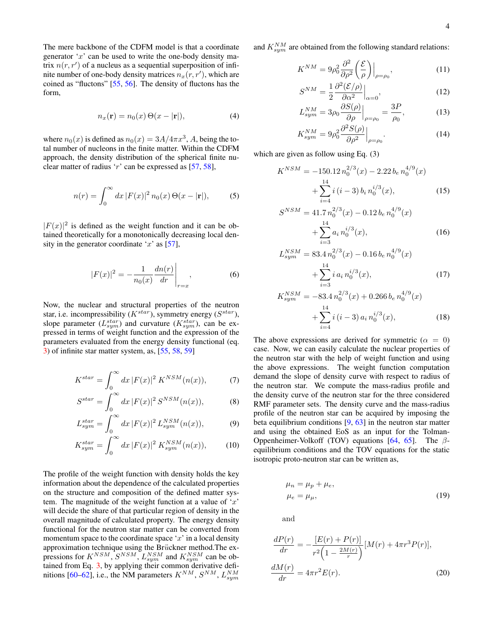The mere backbone of the CDFM model is that a coordinate generator  $x'$  can be used to write the one-body density matrix  $n(r, r')$  of a nucleus as a sequential superposition of infinite number of one-body density matrices  $n_x(r, r')$ , which are coined as "fluctons" [\[55,](#page-7-33) [56\]](#page-7-34). The density of fluctons has the form,

$$
n_x(\mathbf{r}) = n_0(x) \Theta(x - |\mathbf{r}|), \tag{4}
$$

where  $n_0(x)$  is defined as  $n_0(x) = 3A/4\pi x^3$ , A, being the total number of nucleons in the finite matter. Within the CDFM approach, the density distribution of the spherical finite nuclear matter of radius 'r' can be expressed as  $[57, 58]$  $[57, 58]$  $[57, 58]$ ,

$$
n(r) = \int_0^\infty dx \, |F(x)|^2 \, n_0(x) \, \Theta(x - |\mathbf{r}|),\tag{5}
$$

 $|F(x)|^2$  is defined as the weight function and it can be obtained theoretically for a monotonically decreasing local density in the generator coordinate 'x' as  $[57]$ ,

$$
|F(x)|^2 = -\frac{1}{n_0(x)} \frac{dn(r)}{dr} \bigg|_{r=x},
$$
 (6)

Now, the nuclear and structural properties of the neutron star, i.e. incompressibility ( $K^{star}$ ), symmetry energy ( $S^{star}$ ), slope parameter  $(L_{sym}^{star})$  and curvature  $(K_{sym}^{star})$ , can be expressed in terms of weight function and the expression of the parameters evaluated from the energy density functional (eq. [3\)](#page-2-1) of infinite star matter system, as, [\[55,](#page-7-33) [58,](#page-7-36) [59\]](#page-7-37)

$$
K^{star} = \int_0^\infty dx \, |F(x)|^2 \, K^{NSM}(n(x)),\tag{7}
$$

$$
S^{star} = \int_0^\infty dx \, |F(x)|^2 \, S^{NSM}(n(x)),\tag{8}
$$

$$
L_{sym}^{star} = \int_0^\infty dx \, |F(x)|^2 L_{sym}^{NSM}(n(x)),\tag{9}
$$

$$
K_{sym}^{star} = \int_0^\infty dx \, |F(x)|^2 \, K_{sym}^{NSM}(n(x)),\tag{10}
$$

The profile of the weight function with density holds the key information about the dependence of the calculated properties on the structure and composition of the defined matter system. The magnitude of the weight function at a value of  $x'$ will decide the share of that particular region of density in the overall magnitude of calculated property. The energy density functional for the neutron star matter can be converted from momentum space to the coordinate space  $x'$  in a local density approximation technique using the Brückner method. The expressions for  $K^{NSM}$ ,  $S^{NSM}$ ,  $L_{sym}^{NSM}$  and  $K_{sym}^{NSM}$  can be obtained from Eq. [3,](#page-2-1) by applying their common derivative defi-nitions [\[60](#page-7-38)[–62\]](#page-7-39), i.e., the NM parameters  $K^{NM}$ ,  $S^{NM}$ ,  $L_{sym}^{NM}$ 

and  $K_{sym}^{NM}$  are obtained from the following standard relations:

$$
K^{NM} = 9\rho_0^2 \frac{\partial^2}{\partial \rho^2} \left(\frac{\mathcal{E}}{\rho}\right)\Big|_{\rho=\rho_0},\tag{11}
$$

$$
S^{NM} = \frac{1}{2} \frac{\partial^2 (\mathcal{E}/\rho)}{\partial \alpha^2} \Big|_{\alpha=0},\tag{12}
$$

$$
L_{sym}^{NM} = 3\rho_0 \frac{\partial S(\rho)}{\partial \rho}\Big|_{\rho=\rho_0} = \frac{3P}{\rho_0},\tag{13}
$$

$$
K_{sym}^{NM} = 9\rho_0^2 \frac{\partial^2 S(\rho)}{\partial \rho^2}\Big|_{\rho=\rho_0}.\tag{14}
$$

which are given as follow using Eq. (3)

$$
K^{NSM} = -150.12 n_0^{2/3}(x) - 2.22 b_e n_0^{4/9}(x) + \sum_{i=4}^{14} i (i-3) b_i n_0^{i/3}(x),
$$
 (15)

$$
S^{NSM} = 41.7 n_0^{2/3}(x) - 0.12 b_e n_0^{4/9}(x)
$$

$$
+ \sum_{i=3}^{14} a_i n_0^{i/3}(x), \qquad (16)
$$

$$
L_{sym}^{NSM} = 83.4 n_0^{2/3}(x) - 0.16 b_e n_0^{4/9}(x) + \sum_{i=3}^{14} i a_i n_0^{i/3}(x),
$$
 (17)

$$
K_{sym}^{NSM} = -83.4 n_0^{2/3}(x) + 0.266 b_e n_0^{4/9}(x) + \sum_{i=4}^{14} i (i-3) a_i n_0^{i/3}(x),
$$
 (18)

The above expressions are derived for symmetric ( $\alpha = 0$ ) case. Now, we can easily calculate the nuclear properties of the neutron star with the help of weight function and using the above expressions. The weight function computation demand the slope of density curve with respect to radius of the neutron star. We compute the mass-radius profile and the density curve of the neutron star for the three considered RMF parameter sets. The density curve and the mass-radius profile of the neutron star can be acquired by imposing the beta equilibrium conditions  $[9, 63]$  $[9, 63]$  $[9, 63]$  in the neutron star matter and using the obtained EoS as an input for the Tolman-Oppenheimer-Volkoff (TOV) equations [\[64,](#page-7-41) [65\]](#page-7-42). The  $\beta$ equilibrium conditions and the TOV equations for the static isotropic proto-neutron star can be written as,

$$
\mu_n = \mu_p + \mu_e,
$$
  
\n
$$
\mu_e = \mu_\mu,
$$
\n(19)

and

$$
\frac{dP(r)}{dr} = -\frac{[E(r) + P(r)]}{r^2 \left(1 - \frac{2M(r)}{r}\right)} [M(r) + 4\pi r^3 P(r)],
$$
  

$$
\frac{dM(r)}{dr} = 4\pi r^2 E(r).
$$
 (20)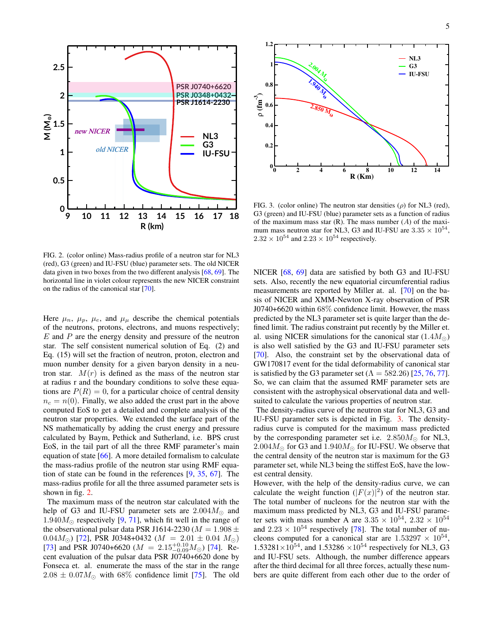

<span id="page-4-0"></span>FIG. 2. (color online) Mass-radius profile of a neutron star for NL3 (red), G3 (green) and IU-FSU (blue) parameter sets. The old NICER data given in two boxes from the two different analysis [\[68,](#page-7-43) [69\]](#page-7-44). The horizontal line in violet colour represents the new NICER constraint on the radius of the canonical star [\[70\]](#page-7-45).

Here  $\mu_n$ ,  $\mu_p$ ,  $\mu_e$ , and  $\mu_\mu$  describe the chemical potentials of the neutrons, protons, electrons, and muons respectively;  $E$  and  $P$  are the energy density and pressure of the neutron star. The self consistent numerical solution of Eq. (2) and Eq. (15) will set the fraction of neutron, proton, electron and muon number density for a given baryon density in a neutron star.  $M(r)$  is defined as the mass of the neutron star at radius r and the boundary conditions to solve these equations are  $P(R) = 0$ , for a particular choice of central density  $n_c = n(0)$ . Finally, we also added the crust part in the above computed EoS to get a detailed and complete analysis of the neutron star properties. We extended the surface part of the NS mathematically by adding the crust energy and pressure calculated by Baym, Pethick and Sutherland, i.e. BPS crust EoS, in the tail part of all the three RMF parameter's main equation of state  $[66]$ . A more detailed formalism to calculate the mass-radius profile of the neutron star using RMF equation of state can be found in the references [\[9,](#page-6-7) [35,](#page-7-14) [67\]](#page-7-47). The mass-radius profile for all the three assumed parameter sets is shown in fig. [2.](#page-4-0)

The maximum mass of the neutron star calculated with the help of G3 and IU-FSU parameter sets are  $2.004M_{\odot}$  and 1.940 $M_{\odot}$  respectively [\[9,](#page-6-7) [71\]](#page-7-48), which fit well in the range of the observational pulsar data PSR J1614-2230 ( $M = 1.908 \pm$ 0.04 $M_{\odot}$ ) [\[72\]](#page-7-49), PSR J0348+0432 ( $M = 2.01 \pm 0.04$   $M_{\odot}$ ) [\[73\]](#page-7-50) and PSR J0740+6620 ( $M = 2.15^{+0.10}_{-0.09} M_{\odot}$ ) [\[74\]](#page-8-0). Recent evaluation of the pulsar data PSR J0740+6620 done by Fonseca et. al. enumerate the mass of the star in the range  $2.08 \pm 0.07 M_{\odot}$  with 68% confidence limit [\[75\]](#page-8-1). The old



<span id="page-4-1"></span>FIG. 3. (color online) The neutron star densities  $(\rho)$  for NL3 (red), G3 (green) and IU-FSU (blue) parameter sets as a function of radius of the maximum mass star  $(R)$ . The mass number  $(A)$  of the maximum mass neutron star for NL3, G3 and IU-FSU are  $3.35 \times 10^{54}$ ,  $2.32 \times 10^{54}$  and  $2.23 \times 10^{54}$  respectively.

NICER [\[68,](#page-7-43) [69\]](#page-7-44) data are satisfied by both G3 and IU-FSU sets. Also, recently the new equatorial circumferential radius measurements are reported by Miller at. al. [\[70\]](#page-7-45) on the basis of NICER and XMM-Newton X-ray observation of PSR J0740+6620 within 68% confidence limit. However, the mass predicted by the NL3 parameter set is quite larger than the defined limit. The radius constraint put recently by the Miller et. al. using NICER simulations for the canonical star  $(1.4M_{\odot})$ is also well satisfied by the G3 and IU-FSU parameter sets [\[70\]](#page-7-45). Also, the constraint set by the observational data of GW170817 event for the tidal deformability of canonical star is satisfied by the G3 parameter set ( $\Lambda = 582.26$ ) [\[25,](#page-7-4) [76,](#page-8-2) [77\]](#page-8-3). So, we can claim that the assumed RMF parameter sets are consistent with the astrophysical observational data and wellsuited to calculate the various properties of neutron star.

The density-radius curve of the neutron star for NL3, G3 and IU-FSU parameter sets is depicted in Fig. [3.](#page-4-1) The densityradius curve is computed for the maximum mass predicted by the corresponding parameter set i.e.  $2.850M_{\odot}$  for NL3,  $2.004M_{\odot}$  for G3 and  $1.940M_{\odot}$  for IU-FSU. We observe that the central density of the neutron star is maximum for the G3 parameter set, while NL3 being the stiffest EoS, have the lowest central density.

However, with the help of the density-radius curve, we can calculate the weight function  $(|F(x)|^2)$  of the neutron star. The total number of nucleons for the neutron star with the maximum mass predicted by NL3, G3 and IU-FSU parameter sets with mass number A are  $3.35 \times 10^{54}$ ,  $2.32 \times 10^{54}$ and  $2.23 \times 10^{54}$  respectively [\[78\]](#page-8-4). The total number of nucleons computed for a canonical star are  $1.53297 \times 10^{54}$ ,  $1.53281\times10^{54}$ , and  $1.53286\times10^{54}$  respectively for NL3, G<sub>3</sub> and IU-FSU sets. Although, the number difference appears after the third decimal for all three forces, actually these numbers are quite different from each other due to the order of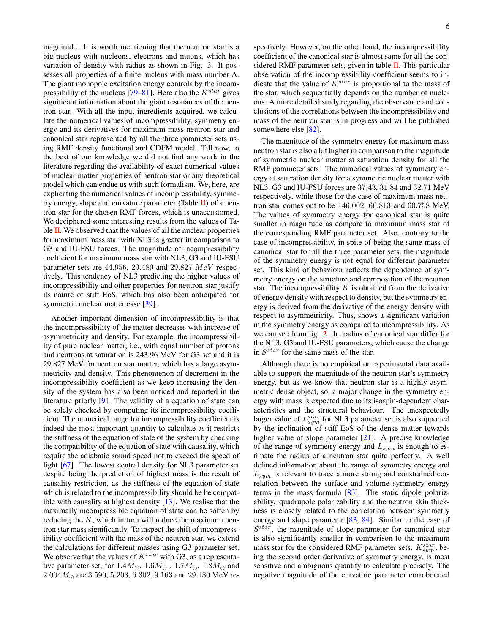magnitude. It is worth mentioning that the neutron star is a big nucleus with nucleons, electrons and muons, which has variation of density with radius as shown in Fig. 3. It possesses all properties of a finite nucleus with mass number A. The giant monopole excitation energy controls by the incom-pressibility of the nucleus [\[79](#page-8-5)[–81\]](#page-8-6). Here also the  $K<sup>star</sup>$  gives significant information about the giant resonances of the neutron star. With all the input ingredients acquired, we calculate the numerical values of incompressibility, symmetry energy and its derivatives for maximum mass neutron star and canonical star represented by all the three parameter sets using RMF density functional and CDFM model. Till now, to the best of our knowledge we did not find any work in the literature regarding the availability of exact numerical values of nuclear matter properties of neutron star or any theoretical model which can endue us with such formalism. We, here, are explicating the numerical values of incompressibility, symmetry energy, slope and curvature parameter (Table  $\text{II}$ ) of a neutron star for the chosen RMF forces, which is unaccustomed. We deciphered some interesting results from the values of Table  $II$ . We observed that the values of all the nuclear properties for maximum mass star with NL3 is greater in comparison to G3 and IU-FSU forces. The magnitude of incompressibility coefficient for maximum mass star with NL3, G3 and IU-FSU parameter sets are  $44.956$ ,  $29.480$  and  $29.827$   $MeV$  respectively. This tendency of NL3 predicting the higher values of incompressibility and other properties for neutron star justify its nature of stiff EoS, which has also been anticipated for symmetric nuclear matter case [\[39\]](#page-7-17).

Another important dimension of incompressibility is that the incompressibility of the matter decreases with increase of asymmetricity and density. For example, the incompressibility of pure nuclear matter, i.e., with equal number of protons and neutrons at saturation is 243.96 MeV for G3 set and it is 29.827 MeV for neutron star matter, which has a large asymmetricity and density. This phenomenon of decrement in the incompressibility coefficient as we keep increasing the density of the system has also been noticed and reported in the literature priorly [\[9\]](#page-6-7). The validity of a equation of state can be solely checked by computing its incompressibility coefficient. The numerical range for incompressibility coefficient is indeed the most important quantity to calculate as it restricts the stiffness of the equation of state of the system by checking the compatibility of the equation of state with causality, which require the adiabatic sound speed not to exceed the speed of light [\[67\]](#page-7-47). The lowest central density for NL3 parameter set despite being the prediction of highest mass is the result of causality restriction, as the stiffness of the equation of state which is related to the incompressibility should be be compatible with causality at highest density [\[13\]](#page-6-9). We realise that the maximally incompressible equation of state can be soften by reducing the  $K$ , which in turn will reduce the maximum neutron star mass significantly. To inspect the shift of incompressibility coefficient with the mass of the neutron star, we extend the calculations for different masses using G3 parameter set. We observe that the values of  $K^{star}$  with G3, as a representative parameter set, for  $1.4M_{\odot}$ ,  $1.6M_{\odot}$  ,  $1.7M_{\odot}$ ,  $1.8M_{\odot}$  and  $2.004M_{\odot}$  are 3.590, 5.203, 6.302, 9.163 and 29.480 MeV respectively. However, on the other hand, the incompressibility coefficient of the canonical star is almost same for all the con-sidered RMF parameter sets, given in table [II.](#page-6-17) This particular observation of the incompressibility coefficient seems to indicate that the value of  $K^{star}$  is proportional to the mass of the star, which sequentially depends on the number of nucleons. A more detailed study regarding the observance and conclusions of the correlations between the incompressibility and mass of the neutron star is in progress and will be published somewhere else [\[82\]](#page-8-7).

The magnitude of the symmetry energy for maximum mass neutron star is also a bit higher in comparison to the magnitude of symmetric nuclear matter at saturation density for all the RMF parameter sets. The numerical values of symmetry energy at saturation density for a symmetric nuclear matter with NL3, G3 and IU-FSU forces are 37.43, 31.84 and 32.71 MeV respectively, while those for the case of maximum mass neutron star comes out to be 146.002, 66.813 and 60.758 MeV. The values of symmetry energy for canonical star is quite smaller in magnitude as compare to maximum mass star of the corresponding RMF parameter set. Also, contrary to the case of incompressibility, in spite of being the same mass of canonical star for all the three parameter sets, the magnitude of the symmetry energy is not equal for different parameter set. This kind of behaviour reflects the dependence of symmetry energy on the structure and composition of the neutron star. The incompressibility  $K$  is obtained from the derivative of energy density with respect to density, but the symmetry energy is derived from the derivative of the energy density with respect to asymmetricity. Thus, shows a significant variation in the symmetry energy as compared to incompressibility. As we can see from fig. [2,](#page-4-0) the radius of canonical star differ for the NL3, G3 and IU-FSU parameters, which cause the change in  $S^{star}$  for the same mass of the star.

Although there is no empirical or experimental data available to support the magnitude of the neutron star's symmetry energy, but as we know that neutron star is a highly asymmetric dense object, so, a major change in the symmetry energy with mass is expected due to its isospin-dependent characteristics and the structural behaviour. The unexpectedly larger value of  $L_{sym}^{star}$  for NL3 parameter set is also supported by the inclination of stiff EoS of the dense matter towards higher value of slope parameter [\[21\]](#page-7-0). A precise knowledge of the range of symmetry energy and  $L_{sym}$  is enough to estimate the radius of a neutron star quite perfectly. A well defined information about the range of symmetry energy and  $L_{sym}$  is relevant to trace a more strong and constrained correlation between the surface and volume symmetry energy terms in the mass formula [\[83\]](#page-8-8). The static dipole polarizability. quadrupole polarizability and the neutron skin thickness is closely related to the correlation between symmetry energy and slope parameter [\[83,](#page-8-8) [84\]](#page-8-9). Similar to the case of  $S<sup>star</sup>$ , the magnitude of slope parameter for canonical star is also significantly smaller in comparison to the maximum mass star for the considered RMF parameter sets.  $K_{sym}^{star}$ , being the second order derivative of symmetry energy, is most sensitive and ambiguous quantity to calculate precisely. The negative magnitude of the curvature parameter corroborated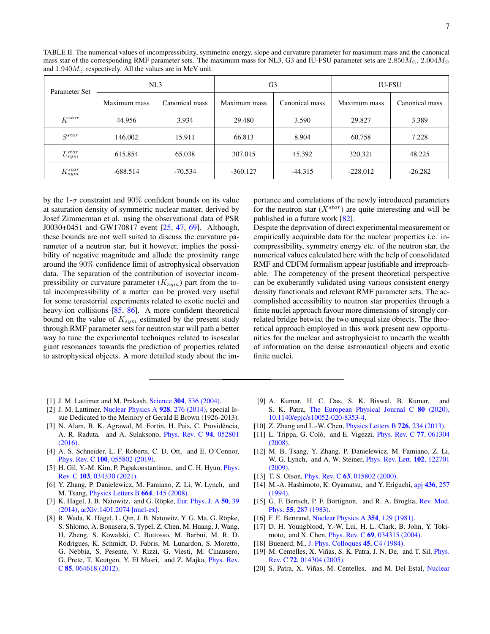<span id="page-6-17"></span>

| TABLE II. The numerical values of incompressibility, symmetric energy, slope and curvature parameter for maximum mass and the canonical           |  |
|---------------------------------------------------------------------------------------------------------------------------------------------------|--|
| mass star of the corresponding RMF parameter sets. The maximum mass for NL3, G3 and IU-FSU parameter sets are $2.850M_{\odot}$ , $2.004M_{\odot}$ |  |
| and $1.940M_{\odot}$ respectively. All the values are in MeV unit.                                                                                |  |

| Parameter Set    | NL3          |                | G <sub>3</sub> |                | <b>IU-FSU</b> |                |
|------------------|--------------|----------------|----------------|----------------|---------------|----------------|
|                  | Maximum mass | Canonical mass | Maximum mass   | Canonical mass | Maximum mass  | Canonical mass |
| $K^{star}$       | 44.956       | 3.934          | 29.480         | 3.590          | 29.827        | 3.389          |
| $S^{star}$       | 146.002      | 15.911         | 66.813         | 8.904          | 60.758        | 7.228          |
| $L_{sym}^{star}$ | 615.854      | 65.038         | 307.015        | 45.392         | 320.321       | 48.225         |
| $K^{star}_{sym}$ | $-688.514$   | $-70.534$      | $-360.127$     | $-44.315$      | $-228.012$    | $-26.282$      |

by the 1- $\sigma$  constraint and 90% confident bounds on its value at saturation density of symmetric nuclear matter, derived by Josef Zimmerman et al. using the observational data of PSR J0030+0451 and GW170817 event [\[25,](#page-7-4) [47,](#page-7-30) [69\]](#page-7-44). Although, these bounds are not well suited to discuss the curvature parameter of a neutron star, but it however, implies the possibility of negative magnitude and allude the proximity range around the 90% confidence limit of astrophysical observation data. The separation of the contribution of isovector incompressibility or curvature parameter  $(K_{sym})$  part from the total incompressibility of a matter can be proved very useful for some teresterrial experiments related to exotic nuclei and heavy-ion collisions [\[85,](#page-8-10) [86\]](#page-8-11). A more confident theoretical bound on the value of  $K_{sym}$  estimated by the present study through RMF parameter sets for neutron star will path a better way to tune the experimental techniques related to isoscalar giant resonances towards the prediction of properties related to astrophysical objects. A more detailed study about the importance and correlations of the newly introduced parameters for the neutron star  $(X^{star})$  are quite interesting and will be published in a future work [\[82\]](#page-8-7).

Despite the deprivation of direct experimental measurement or empirically acquirable data for the nuclear properties i.e. incompressibility, symmetry energy etc. of the neutron star, the numerical values calculated here with the help of consolidated RMF and CDFM formalism appear justifiable and irreproachable. The competency of the present theoretical perspective can be exuberantly validated using various consistent energy density functionals and relevant RMF parameter sets. The accomplished accessibility to neutron star properties through a finite nuclei approach favour more dimensions of strongly correlated bridge betwixt the two unequal size objects. The theoretical approach employed in this work present new opportunities for the nuclear and astrophysicist to unearth the wealth of information on the dense astronautical objects and exotic finite nuclei.

- <span id="page-6-0"></span>[1] J. M. Lattimer and M. Prakash, Science 304[, 536 \(2004\).](http://dx.doi.org/10.1126/science.1090720)
- <span id="page-6-1"></span>[2] J. M. Lattimer, [Nuclear Physics A](http://dx.doi.org/ https://doi.org/10.1016/j.nuclphysa.2014.04.008) 928, 276 (2014), special Issue Dedicated to the Memory of Gerald E Brown (1926-2013).
- <span id="page-6-2"></span>[3] N. Alam, B. K. Agrawal, M. Fortin, H. Pais, C. Providência, A. R. Raduta, and A. Sulaksono, [Phys. Rev. C](http://dx.doi.org/ 10.1103/PhysRevC.94.052801) 94, 052801 [\(2016\).](http://dx.doi.org/ 10.1103/PhysRevC.94.052801)
- <span id="page-6-3"></span>[4] A. S. Schneider, L. F. Roberts, C. D. Ott, and E. O'Connor, Phys. Rev. C 100[, 055802 \(2019\).](http://dx.doi.org/10.1103/PhysRevC.100.055802)
- <span id="page-6-4"></span>[5] H. Gil, Y.-M. Kim, P. Papakonstantinou, and C. H. Hyun, *[Phys.](http://dx.doi.org/10.1103/PhysRevC.103.034330)* Rev. C 103[, 034330 \(2021\).](http://dx.doi.org/10.1103/PhysRevC.103.034330)
- <span id="page-6-5"></span>[6] Y. Zhang, P. Danielewicz, M. Famiano, Z. Li, W. Lynch, and M. Tsang, [Physics Letters B](http://dx.doi.org/ https://doi.org/10.1016/j.physletb.2008.03.075) 664, 145 (2008).
- [7] K. Hagel, J. B. Natowitz, and G. Röpke, [Eur. Phys. J. A](http://dx.doi.org/10.1140/epja/i2014-14039-4)  $50$ , 39 [\(2014\),](http://dx.doi.org/10.1140/epja/i2014-14039-4) [arXiv:1401.2074 \[nucl-ex\].](http://arxiv.org/abs/1401.2074)
- <span id="page-6-6"></span>[8] R. Wada, K. Hagel, L. Qin, J. B. Natowitz, Y. G. Ma, G. Röpke, S. Shlomo, A. Bonasera, S. Typel, Z. Chen, M. Huang, J. Wang, H. Zheng, S. Kowalski, C. Bottosso, M. Barbui, M. R. D. Rodrigues, K. Schmidt, D. Fabris, M. Lunardon, S. Moretto, G. Nebbia, S. Pesente, V. Rizzi, G. Viesti, M. Cinausero, G. Prete, T. Keutgen, Y. El Masri, and Z. Majka, [Phys. Rev.](http://dx.doi.org/10.1103/PhysRevC.85.064618) C 85[, 064618 \(2012\).](http://dx.doi.org/10.1103/PhysRevC.85.064618)
- <span id="page-6-7"></span>[9] A. Kumar, H. C. Das, S. K. Biswal, B. Kumar, and S. K. Patra, [The European Physical Journal C](http://dx.doi.org/ 10.1140/epjc/s10052-020-8353-4) 80 (2020), [10.1140/epjc/s10052-020-8353-4.](http://dx.doi.org/ 10.1140/epjc/s10052-020-8353-4)
- [10] Z. Zhang and L.-W. Chen, *[Physics Letters B](http://dx.doi.org/https://doi.org/10.1016/j.physletb.2013.08.002)* **726**, 234 (2013).
- [11] L. Trippa, G. Colò, and E. Vigezzi, *[Phys. Rev. C](http://dx.doi.org/10.1103/PhysRevC.77.061304) 77, 061304* [\(2008\).](http://dx.doi.org/10.1103/PhysRevC.77.061304)
- <span id="page-6-8"></span>[12] M. B. Tsang, Y. Zhang, P. Danielewicz, M. Famiano, Z. Li, W. G. Lynch, and A. W. Steiner, [Phys. Rev. Lett.](http://dx.doi.org/ 10.1103/PhysRevLett.102.122701) 102, 122701 [\(2009\).](http://dx.doi.org/ 10.1103/PhysRevLett.102.122701)
- <span id="page-6-9"></span>[13] T. S. Olson, *Phys. Rev. C* 63[, 015802 \(2000\).](http://dx.doi.org/10.1103/PhysRevC.63.015802)
- <span id="page-6-10"></span>[14] M.-A. Hashimoto, K. Oyamatsu, and Y. Eriguchi, apj 436[, 257](http://dx.doi.org/10.1086/174899) [\(1994\).](http://dx.doi.org/10.1086/174899)
- <span id="page-6-11"></span>[15] G. F. Bertsch, P. F. Bortignon, and R. A. Broglia, [Rev. Mod.](http://dx.doi.org/10.1103/RevModPhys.55.287) Phys. 55[, 287 \(1983\).](http://dx.doi.org/10.1103/RevModPhys.55.287)
- <span id="page-6-12"></span>[16] F. E. Bertrand, [Nuclear Physics A](http://dx.doi.org/https://doi.org/10.1016/0375-9474(81)90596-0) 354, 129 (1981).
- <span id="page-6-13"></span>[17] D. H. Youngblood, Y.-W. Lui, H. L. Clark, B. John, Y. Tokimoto, and X. Chen, Phys. Rev. C 69[, 034315 \(2004\).](http://dx.doi.org/ 10.1103/PhysRevC.69.034315)
- <span id="page-6-14"></span>[18] Buenerd, M., [J. Phys. Colloques](http://dx.doi.org/10.1051/jphyscol:1984411) 45, C4 (1984).
- <span id="page-6-15"></span>[19] M. Centelles, X. Viñas, S. K. Patra, J. N. De, and T. Sil, *[Phys.](http://dx.doi.org/ 10.1103/PhysRevC.72.014304)* Rev. C 72[, 014304 \(2005\).](http://dx.doi.org/ 10.1103/PhysRevC.72.014304)
- <span id="page-6-16"></span>[20] S. Patra, X. Viñas, M. Centelles, and M. Del Estal, [Nuclear](http://dx.doi.org/10.1016/s0375-9474(01)01531-7)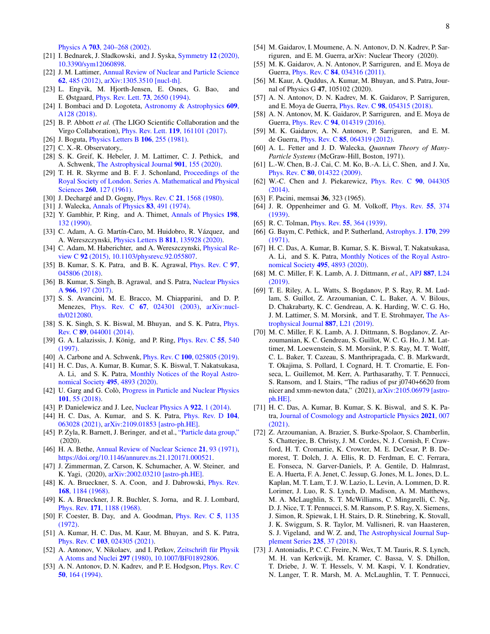Physics A 703[, 240–268 \(2002\).](http://dx.doi.org/10.1016/s0375-9474(01)01531-7)

- <span id="page-7-0"></span>[21] I. Bednarek, J. Sładkowski, and J. Syska, [Symmetry](http://dx.doi.org/10.3390/sym12060898) 12 (2020), [10.3390/sym12060898.](http://dx.doi.org/10.3390/sym12060898)
- <span id="page-7-1"></span>[22] J. M. Lattimer, [Annual Review of Nuclear and Particle Science](http://dx.doi.org/10.1146/annurev-nucl-102711-095018) 62[, 485 \(2012\),](http://dx.doi.org/10.1146/annurev-nucl-102711-095018) [arXiv:1305.3510 \[nucl-th\].](http://arxiv.org/abs/1305.3510)
- <span id="page-7-2"></span>[23] L. Engvik, M. Hjorth-Jensen, E. Osnes, G. Bao, and E. Østgaard, [Phys. Rev. Lett.](http://dx.doi.org/10.1103/PhysRevLett.73.2650) 73, 2650 (1994).
- <span id="page-7-3"></span>[24] I. Bombaci and D. Logoteta, [Astronomy & Astrophysics](http://dx.doi.org/10.1051/0004-6361/201731604) 609, [A128 \(2018\).](http://dx.doi.org/10.1051/0004-6361/201731604)
- <span id="page-7-4"></span>[25] B. P. Abbott *et al.* (The LIGO Scientific Collaboration and the Virgo Collaboration), Phys. Rev. Lett. 119[, 161101 \(2017\).](http://dx.doi.org/ 10.1103/PhysRevLett.119.161101)
- <span id="page-7-5"></span>[26] J. Boguta, *[Physics Letters B](http://dx.doi.org/https://doi.org/10.1016/0370-2693(81)90529-3)* **106**, 255 (1981).
- <span id="page-7-6"></span>[27] C. X.-R. Observatory,.
- <span id="page-7-7"></span>[28] S. K. Greif, K. Hebeler, J. M. Lattimer, C. J. Pethick, and A. Schwenk, [The Astrophysical Journal](http://dx.doi.org/ 10.3847/1538-4357/abaf55) 901, 155 (2020).
- <span id="page-7-8"></span>[29] T. H. R. Skyrme and B. F. J. Schonland, [Proceedings of the](http://dx.doi.org/10.1098/rspa.1961.0018) [Royal Society of London. Series A. Mathematical and Physical](http://dx.doi.org/10.1098/rspa.1961.0018) Sciences 260[, 127 \(1961\).](http://dx.doi.org/10.1098/rspa.1961.0018)
- <span id="page-7-9"></span>[30] J. Dechargé and D. Gogny, *Phys. Rev. C* 21[, 1568 \(1980\).](http://dx.doi.org/10.1103/PhysRevC.21.1568)
- <span id="page-7-10"></span>[31] J. Walecka, [Annals of Physics](http://dx.doi.org/https://doi.org/10.1016/0003-4916(74)90208-5) **83**, 491 (1974).
- <span id="page-7-11"></span>[32] Y. Gambhir, P. Ring, and A. Thimet, [Annals of Physics](http://dx.doi.org/https://doi.org/10.1016/0003-4916(90)90330-Q) 198, [132 \(1990\).](http://dx.doi.org/https://doi.org/10.1016/0003-4916(90)90330-Q)
- <span id="page-7-12"></span>[33] C. Adam, A. G. Martín-Caro, M. Huidobro, R. Vázquez, and A. Wereszczynski, [Physics Letters B](http://dx.doi.org/https://doi.org/10.1016/j.physletb.2020.135928) 811, 135928 (2020).
- <span id="page-7-13"></span>[34] C. Adam, M. Haberichter, and A. Wereszczynski, [Physical Re](http://dx.doi.org/10.1103/physrevc.92.055807)view C 92 [\(2015\), 10.1103/physrevc.92.055807.](http://dx.doi.org/10.1103/physrevc.92.055807)
- <span id="page-7-14"></span>[35] B. Kumar, S. K. Patra, and B. K. Agrawal, *[Phys. Rev. C](http://dx.doi.org/10.1103/PhysRevC.97.045806)* 97, [045806 \(2018\).](http://dx.doi.org/10.1103/PhysRevC.97.045806)
- <span id="page-7-18"></span>[36] B. Kumar, S. Singh, B. Agrawal, and S. Patra, [Nuclear Physics](http://dx.doi.org/https://doi.org/10.1016/j.nuclphysa.2017.07.001) A 966[, 197 \(2017\).](http://dx.doi.org/https://doi.org/10.1016/j.nuclphysa.2017.07.001)
- <span id="page-7-15"></span>[37] S. S. Avancini, M. E. Bracco, M. Chiapparini, and D. P. Menezes, Phys. Rev. C 67[, 024301 \(2003\),](http://dx.doi.org/10.1103/PhysRevC.67.024301) [arXiv:nucl](http://arxiv.org/abs/nucl-th/0212080)[th/0212080.](http://arxiv.org/abs/nucl-th/0212080)
- <span id="page-7-16"></span>[38] S. K. Singh, S. K. Biswal, M. Bhuyan, and S. K. Patra, *[Phys.](http://dx.doi.org/ 10.1103/PhysRevC.89.044001)* Rev. C 89[, 044001 \(2014\).](http://dx.doi.org/ 10.1103/PhysRevC.89.044001)
- <span id="page-7-17"></span>[39] G. A. Lalazissis, J. König, and P. Ring,  $Phys$ . Rev. C  $55$ , 540 [\(1997\).](http://dx.doi.org/10.1103/PhysRevC.55.540)
- <span id="page-7-19"></span>[40] A. Carbone and A. Schwenk, *Phys. Rev. C* **100**[, 025805 \(2019\).](http://dx.doi.org/10.1103/PhysRevC.100.025805)
- <span id="page-7-20"></span>[41] H. C. Das, A. Kumar, B. Kumar, S. K. Biswal, T. Nakatsukasa, A. Li, and S. K. Patra, [Monthly Notices of the Royal Astro](http://dx.doi.org/ 10.1093/mnras/staa1435)[nomical Society](http://dx.doi.org/ 10.1093/mnras/staa1435) 495, 4893 (2020).
- <span id="page-7-21"></span>[42] U. Garg and G. Colò, [Progress in Particle and Nuclear Physics](http://dx.doi.org/https://doi.org/10.1016/j.ppnp.2018.03.001) 101[, 55 \(2018\).](http://dx.doi.org/https://doi.org/10.1016/j.ppnp.2018.03.001)
- <span id="page-7-22"></span>[43] P. Danielewicz and J. Lee, [Nuclear Physics A](http://dx.doi.org/https://doi.org/10.1016/j.nuclphysa.2013.11.005) 922, 1 (2014).
- <span id="page-7-23"></span>[44] H. C. Das, A. Kumar, and S. K. Patra, *[Phys. Rev. D](http://dx.doi.org/10.1103/PhysRevD.104.063028)* 104, [063028 \(2021\),](http://dx.doi.org/10.1103/PhysRevD.104.063028) [arXiv:2109.01853 \[astro-ph.HE\].](http://arxiv.org/abs/2109.01853)
- <span id="page-7-28"></span>[45] P. Zyla, R. Barnett, J. Beringer, and et al., ["Particle data group,"](http://pdg.lbl.gov/2020/html/authors_2020.html) (2020).
- <span id="page-7-29"></span>[46] H. A. Bethe, [Annual Review of Nuclear Science](http://dx.doi.org/10.1146/annurev.ns.21.120171.000521) 21, 93 (1971), [https://doi.org/10.1146/annurev.ns.21.120171.000521.](http://arxiv.org/abs/https://doi.org/10.1146/annurev.ns.21.120171.000521)
- <span id="page-7-30"></span>[47] J. Zimmerman, Z. Carson, K. Schumacher, A. W. Steiner, and K. Yagi, (2020), [arXiv:2002.03210 \[astro-ph.HE\].](http://arxiv.org/abs/2002.03210)
- <span id="page-7-24"></span>[48] K. A. Brueckner, S. A. Coon, and J. Dabrowski, *[Phys. Rev.](http://dx.doi.org/10.1103/PhysRev.168.1184)* 168[, 1184 \(1968\).](http://dx.doi.org/10.1103/PhysRev.168.1184)
- <span id="page-7-25"></span>[49] K. A. Brueckner, J. R. Buchler, S. Jorna, and R. J. Lombard, Phys. Rev. 171[, 1188 \(1968\).](http://dx.doi.org/10.1103/PhysRev.171.1188)
- <span id="page-7-26"></span>[50] F. Coester, B. Day, and A. Goodman, [Phys. Rev. C](http://dx.doi.org/10.1103/PhysRevC.5.1135) 5, 1135 [\(1972\).](http://dx.doi.org/10.1103/PhysRevC.5.1135)
- <span id="page-7-27"></span>[51] A. Kumar, H. C. Das, M. Kaur, M. Bhuyan, and S. K. Patra, Phys. Rev. C 103[, 024305 \(2021\).](http://dx.doi.org/ 10.1103/PhysRevC.103.024305)
- <span id="page-7-31"></span>[52] A. Antonov, V. Nikolaev, and I. Petkov, Zeitschrift für Physik A Atoms and Nuclei 297 [\(1980\), 10.1007/BF01892806.](http://dx.doi.org/10.1007/BF01892806)
- [53] A. N. Antonov, D. N. Kadrev, and P. E. Hodgson, *[Phys. Rev. C](http://dx.doi.org/10.1103/PhysRevC.50.164)* 50[, 164 \(1994\).](http://dx.doi.org/10.1103/PhysRevC.50.164)
- <span id="page-7-32"></span>[54] M. Gaidarov, I. Moumene, A. N. Antonov, D. N. Kadrev, P. Sarriguren, and E. M. Guerra, arXiv: Nuclear Theory (2020).
- <span id="page-7-33"></span>[55] M. K. Gaidarov, A. N. Antonov, P. Sarriguren, and E. Moya de Guerra, Phys. Rev. C 84[, 034316 \(2011\).](http://dx.doi.org/10.1103/PhysRevC.84.034316)
- <span id="page-7-34"></span>[56] M. Kaur, A. Quddus, A. Kumar, M. Bhuyan, and S. Patra, Journal of Physics G 47, 105102 (2020).
- <span id="page-7-35"></span>[57] A. N. Antonov, D. N. Kadrev, M. K. Gaidarov, P. Sarriguren, and E. Moya de Guerra, Phys. Rev. C 98[, 054315 \(2018\).](http://dx.doi.org/10.1103/PhysRevC.98.054315)
- <span id="page-7-36"></span>[58] A. N. Antonov, M. K. Gaidarov, P. Sarriguren, and E. Moya de Guerra, Phys. Rev. C 94[, 014319 \(2016\).](http://dx.doi.org/10.1103/PhysRevC.94.014319)
- <span id="page-7-37"></span>[59] M. K. Gaidarov, A. N. Antonov, P. Sarriguren, and E. M. de Guerra, Phys. Rev. C 85[, 064319 \(2012\).](http://dx.doi.org/10.1103/PhysRevC.85.064319)
- <span id="page-7-38"></span>[60] A. L. Fetter and J. D. Walecka, *Quantum Theory of Many-Particle Systems* (McGraw-Hill, Boston, 1971).
- [61] L.-W. Chen, B.-J. Cai, C. M. Ko, B.-A. Li, C. Shen, and J. Xu, Phys. Rev. C 80[, 014322 \(2009\).](http://dx.doi.org/ 10.1103/PhysRevC.80.014322)
- <span id="page-7-39"></span>[62] W.-C. Chen and J. Piekarewicz, [Phys. Rev. C](http://dx.doi.org/10.1103/PhysRevC.90.044305) 90, 044305 [\(2014\).](http://dx.doi.org/10.1103/PhysRevC.90.044305)
- <span id="page-7-40"></span>[63] F. Pacini, memsai 36, 323 (1965).
- <span id="page-7-41"></span>[64] J. R. Oppenheimer and G. M. Volkoff, *[Phys. Rev.](http://dx.doi.org/10.1103/PhysRev.55.374)* 55, 374 [\(1939\).](http://dx.doi.org/10.1103/PhysRev.55.374)
- <span id="page-7-42"></span>[65] R. C. Tolman, *Phys. Rev.* **55**[, 364 \(1939\).](http://dx.doi.org/10.1103/PhysRev.55.364)
- <span id="page-7-46"></span>[66] G. Baym, C. Pethick, and P. Sutherland, [Astrophys. J.](http://dx.doi.org/10.1086/151216) 170, 299 [\(1971\).](http://dx.doi.org/10.1086/151216)
- <span id="page-7-47"></span>[67] H. C. Das, A. Kumar, B. Kumar, S. K. Biswal, T. Nakatsukasa, A. Li, and S. K. Patra, [Monthly Notices of the Royal Astro](http://dx.doi.org/ 10.1093/mnras/staa1435)[nomical Society](http://dx.doi.org/ 10.1093/mnras/staa1435) 495, 4893 (2020).
- <span id="page-7-43"></span>[68] M. C. Miller, F. K. Lamb, A. J. Dittmann, *et al.*, APJ 887[, L24](http://dx.doi.org/10.3847/2041-8213/ab50c5) [\(2019\).](http://dx.doi.org/10.3847/2041-8213/ab50c5)
- <span id="page-7-44"></span>[69] T. E. Riley, A. L. Watts, S. Bogdanov, P. S. Ray, R. M. Ludlam, S. Guillot, Z. Arzoumanian, C. L. Baker, A. V. Bilous, D. Chakrabarty, K. C. Gendreau, A. K. Harding, W. C. G. Ho, J. M. Lattimer, S. M. Morsink, and T. E. Strohmayer, [The As](http://dx.doi.org/ 10.3847/2041-8213/ab481c)[trophysical Journal](http://dx.doi.org/ 10.3847/2041-8213/ab481c) 887, L21 (2019).
- <span id="page-7-45"></span>[70] M. C. Miller, F. K. Lamb, A. J. Dittmann, S. Bogdanov, Z. Arzoumanian, K. C. Gendreau, S. Guillot, W. C. G. Ho, J. M. Lattimer, M. Loewenstein, S. M. Morsink, P. S. Ray, M. T. Wolff, C. L. Baker, T. Cazeau, S. Manthripragada, C. B. Markwardt, T. Okajima, S. Pollard, I. Cognard, H. T. Cromartie, E. Fonseca, L. Guillemot, M. Kerr, A. Parthasarathy, T. T. Pennucci, S. Ransom, and I. Stairs, "The radius of psr j0740+6620 from nicer and xmm-newton data," (2021), [arXiv:2105.06979 \[astro](http://arxiv.org/abs/2105.06979)[ph.HE\].](http://arxiv.org/abs/2105.06979)
- <span id="page-7-48"></span>[71] H. C. Das, A. Kumar, B. Kumar, S. K. Biswal, and S. K. Patra, [Journal of Cosmology and Astroparticle Physics](http://dx.doi.org/ 10.1088/1475-7516/2021/01/007) 2021, 007 [\(2021\).](http://dx.doi.org/ 10.1088/1475-7516/2021/01/007)
- <span id="page-7-49"></span>[72] Z. Arzoumanian, A. Brazier, S. Burke-Spolaor, S. Chamberlin, S. Chatterjee, B. Christy, J. M. Cordes, N. J. Cornish, F. Crawford, H. T. Cromartie, K. Crowter, M. E. DeCesar, P. B. Demorest, T. Dolch, J. A. Ellis, R. D. Ferdman, E. C. Ferrara, E. Fonseca, N. Garver-Daniels, P. A. Gentile, D. Halmrast, E. A. Huerta, F. A. Jenet, C. Jessup, G. Jones, M. L. Jones, D. L. Kaplan, M. T. Lam, T. J. W. Lazio, L. Levin, A. Lommen, D. R. Lorimer, J. Luo, R. S. Lynch, D. Madison, A. M. Matthews, M. A. McLaughlin, S. T. McWilliams, C. Mingarelli, C. Ng, D. J. Nice, T. T. Pennucci, S. M. Ransom, P. S. Ray, X. Siemens, J. Simon, R. Spiewak, I. H. Stairs, D. R. Stinebring, K. Stovall, J. K. Swiggum, S. R. Taylor, M. Vallisneri, R. van Haasteren, S. J. Vigeland, and W. Z. and, [The Astrophysical Journal Sup](http://dx.doi.org/10.3847/1538-4365/aab5b0)[plement Series](http://dx.doi.org/10.3847/1538-4365/aab5b0) 235, 37 (2018).
- <span id="page-7-50"></span>[73] J. Antoniadis, P. C. C. Freire, N. Wex, T. M. Tauris, R. S. Lynch, M. H. van Kerkwijk, M. Kramer, C. Bassa, V. S. Dhillon, T. Driebe, J. W. T. Hessels, V. M. Kaspi, V. I. Kondratiev, N. Langer, T. R. Marsh, M. A. McLaughlin, T. T. Pennucci,